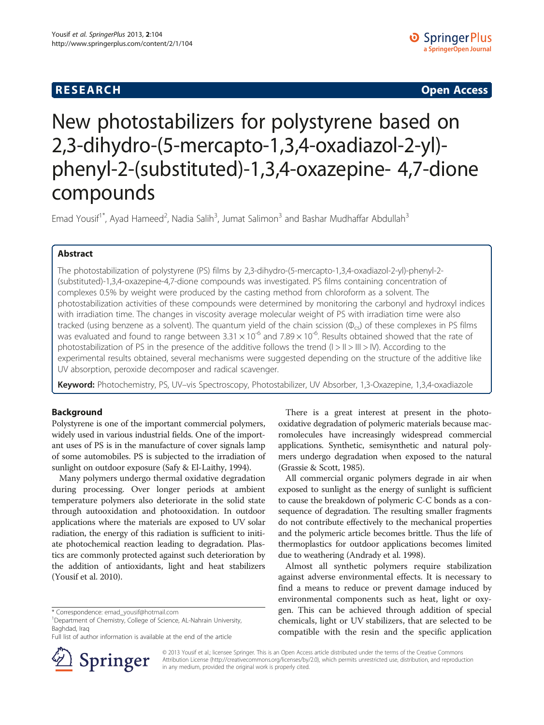## **RESEARCH CHINESE ARCH CHINESE ARCH CHINESE ARCH <b>CHINESE ARCH**

# New photostabilizers for polystyrene based on 2,3-dihydro-(5-mercapto-1,3,4-oxadiazol-2-yl) phenyl-2-(substituted)-1,3,4-oxazepine- 4,7-dione compounds

Emad Yousif<sup>1\*</sup>, Ayad Hameed<sup>2</sup>, Nadia Salih<sup>3</sup>, Jumat Salimon<sup>3</sup> and Bashar Mudhaffar Abdullah<sup>3</sup>

## Abstract

The photostabilization of polystyrene (PS) films by 2,3-dihydro-(5-mercapto-1,3,4-oxadiazol-2-yl)-phenyl-2- (substituted)-1,3,4-oxazepine-4,7-dione compounds was investigated. PS films containing concentration of complexes 0.5% by weight were produced by the casting method from chloroform as a solvent. The photostabilization activities of these compounds were determined by monitoring the carbonyl and hydroxyl indices with irradiation time. The changes in viscosity average molecular weight of PS with irradiation time were also tracked (using benzene as a solvent). The quantum yield of the chain scission ( $\Phi_{cs}$ ) of these complexes in PS films was evaluated and found to range between  $3.31 \times 10^{-6}$  and  $7.89 \times 10^{-6}$ . Results obtained showed that the rate of photostabilization of PS in the presence of the additive follows the trend  $(|>||>|||>||V)$ . According to the experimental results obtained, several mechanisms were suggested depending on the structure of the additive like UV absorption, peroxide decomposer and radical scavenger.

Keyword: Photochemistry, PS, UV-vis Spectroscopy, Photostabilizer, UV Absorber, 1,3-Oxazepine, 1,3,4-oxadiazole

## Background

Polystyrene is one of the important commercial polymers, widely used in various industrial fields. One of the important uses of PS is in the manufacture of cover signals lamp of some automobiles. PS is subjected to the irradiation of sunlight on outdoor exposure (Safy & El-Laithy, [1994\)](#page-7-0).

Many polymers undergo thermal oxidative degradation during processing. Over longer periods at ambient temperature polymers also deteriorate in the solid state through autooxidation and photooxidation. In outdoor applications where the materials are exposed to UV solar radiation, the energy of this radiation is sufficient to initiate photochemical reaction leading to degradation. Plastics are commonly protected against such deterioration by the addition of antioxidants, light and heat stabilizers (Yousif et al. [2010\)](#page-7-0).

Full list of author information is available at the end of the article



There is a great interest at present in the photooxidative degradation of polymeric materials because macromolecules have increasingly widespread commercial applications. Synthetic, semisynthetic and natural polymers undergo degradation when exposed to the natural (Grassie & Scott, [1985](#page-7-0)).

All commercial organic polymers degrade in air when exposed to sunlight as the energy of sunlight is sufficient to cause the breakdown of polymeric C-C bonds as a consequence of degradation. The resulting smaller fragments do not contribute effectively to the mechanical properties and the polymeric article becomes brittle. Thus the life of thermoplastics for outdoor applications becomes limited due to weathering (Andrady et al. [1998\)](#page-7-0).

Almost all synthetic polymers require stabilization against adverse environmental effects. It is necessary to find a means to reduce or prevent damage induced by environmental components such as heat, light or oxygen. This can be achieved through addition of special chemicals, light or UV stabilizers, that are selected to be compatible with the resin and the specific application

© 2013 Yousif et al.; licensee Springer. This is an Open Access article distributed under the terms of the Creative Commons Attribution License [\(http://creativecommons.org/licenses/by/2.0\)](http://creativecommons.org/licenses/by/2.0), which permits unrestricted use, distribution, and reproduction in any medium, provided the original work is properly cited.

<sup>\*</sup> Correspondence: [emad\\_yousif@hotmail.com](mailto:emad_yousif@hotmail.com) <sup>1</sup>

<sup>&</sup>lt;sup>1</sup>Department of Chemistry, College of Science, AL-Nahrain University, Baghdad, Iraq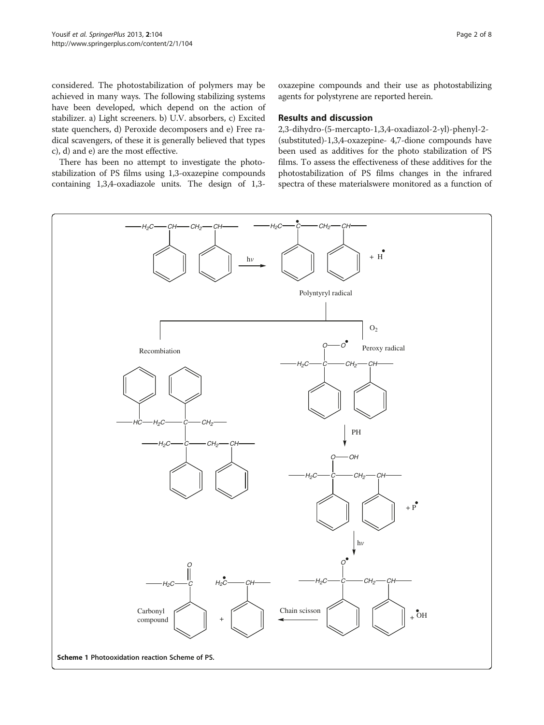<span id="page-1-0"></span>considered. The photostabilization of polymers may be achieved in many ways. The following stabilizing systems have been developed, which depend on the action of stabilizer. a) Light screeners. b) U.V. absorbers, c) Excited state quenchers, d) Peroxide decomposers and e) Free radical scavengers, of these it is generally believed that types c), d) and e) are the most effective.

There has been no attempt to investigate the photostabilization of PS films using 1,3-oxazepine compounds containing 1,3,4-oxadiazole units. The design of 1,3-

oxazepine compounds and their use as photostabilizing agents for polystyrene are reported herein.

#### Results and discussion

2,3-dihydro-(5-mercapto-1,3,4-oxadiazol-2-yl)-phenyl-2- (substituted)-1,3,4-oxazepine- 4,7-dione compounds have been used as additives for the photo stabilization of PS films. To assess the effectiveness of these additives for the photostabilization of PS films changes in the infrared spectra of these materialswere monitored as a function of

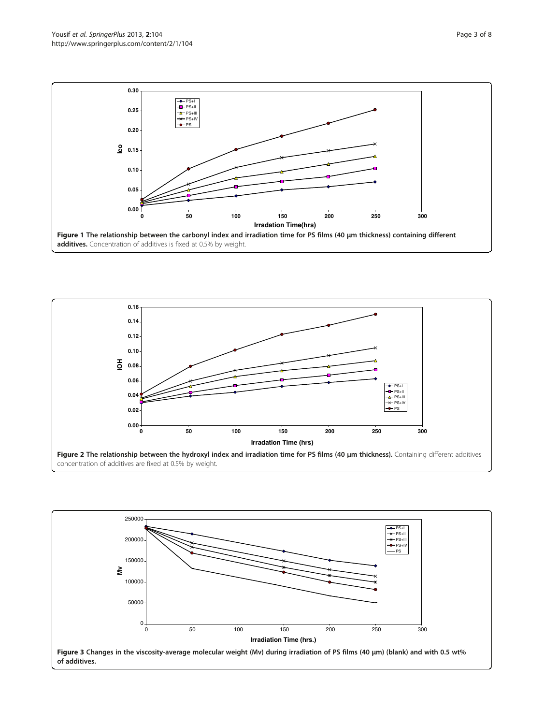<span id="page-2-0"></span>



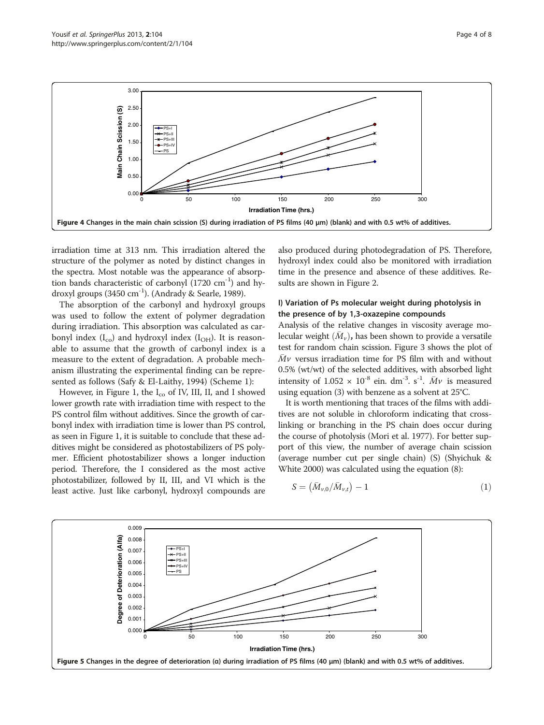<span id="page-3-0"></span>

irradiation time at 313 nm. This irradiation altered the structure of the polymer as noted by distinct changes in the spectra. Most notable was the appearance of absorption bands characteristic of carbonyl  $(1720 \text{ cm}^{-1})$  and hydroxyl groups  $(3450 \text{ cm}^{-1})$ . (Andrady & Searle, [1989\)](#page-7-0).

The absorption of the carbonyl and hydroxyl groups was used to follow the extent of polymer degradation during irradiation. This absorption was calculated as carbonyl index  $(I_{\text{co}})$  and hydroxyl index  $(I_{\text{OH}})$ . It is reasonable to assume that the growth of carbonyl index is a measure to the extent of degradation. A probable mechanism illustrating the experimental finding can be represented as follows (Safy & El-Laithy, [1994\)](#page-7-0) (Scheme [1\)](#page-1-0):

However, in Figure [1,](#page-2-0) the  $I_{co}$  of IV, III, II, and I showed lower growth rate with irradiation time with respect to the PS control film without additives. Since the growth of carbonyl index with irradiation time is lower than PS control, as seen in Figure [1](#page-2-0), it is suitable to conclude that these additives might be considered as photostabilizers of PS polymer. Efficient photostabilizer shows a longer induction period. Therefore, the I considered as the most active photostabilizer, followed by II, III, and VI which is the least active. Just like carbonyl, hydroxyl compounds are

also produced during photodegradation of PS. Therefore, hydroxyl index could also be monitored with irradiation time in the presence and absence of these additives. Results are shown in Figure [2](#page-2-0).

## I) Variation of Ps molecular weight during photolysis in the presence of by 1,3-oxazepine compounds

Analysis of the relative changes in viscosity average molecular weight  $(\bar{M}_{\nu})$ , has been shown to provide a versatile test for random chain scission. Figure [3](#page-2-0) shows the plot of  $\overline{M}v$  versus irradiation time for PS film with and without 0.5% (wt/wt) of the selected additives, with absorbed light intensity of  $1.052 \times 10^{-8}$  ein. dm<sup>-3</sup>. s<sup>-1</sup>.  $\bar{M}v$  is measured using equation [\(3](#page-6-0)) with benzene as a solvent at 25°C.

It is worth mentioning that traces of the films with additives are not soluble in chloroform indicating that crosslinking or branching in the PS chain does occur during the course of photolysis (Mori et al. [1977](#page-7-0)). For better support of this view, the number of average chain scission (average number cut per single chain) (S) (Shyichuk & White [2000\)](#page-7-0) was calculated using the equation [\(8](#page-6-0)):

$$
S = \left(\bar{M}_{\nu,0}/\bar{M}_{\nu,t}\right) - 1\tag{1}
$$

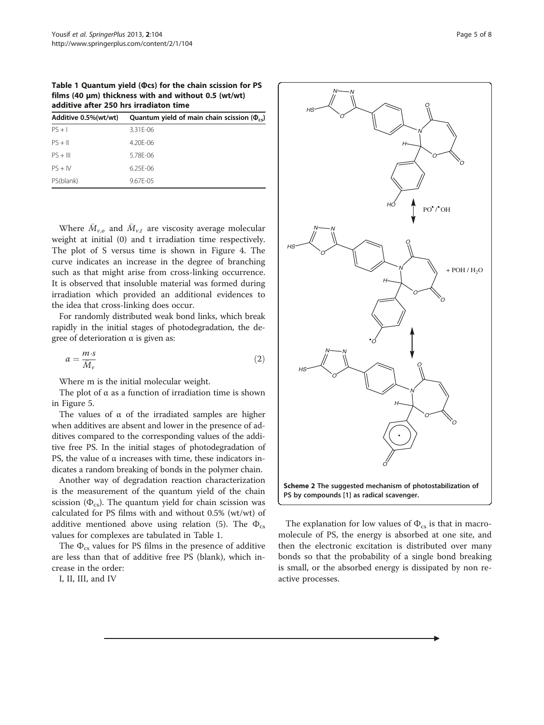<span id="page-4-0"></span>Table 1 Quantum yield (Φcs) for the chain scission for PS films (40 μm) thickness with and without 0.5 (wt/wt) additive after 250 hrs irradiaton time

| Additive 0.5%(wt/wt) | Quantum yield of main chain scission $(\Phi_{cs})$ |
|----------------------|----------------------------------------------------|
| $PS + 1$             | 3.31E-06                                           |
| $PS + II$            | $4.20F - 06$                                       |
| $PS + III$           | 5.78F-06                                           |
| $PS + IV$            | $6.25F - 06$                                       |
| PS(blank)            | $9.67F - 0.5$                                      |

Where  $\bar{M}_{v,o}$  and  $\bar{M}_{v,t}$  are viscosity average molecular weight at initial (0) and t irradiation time respectively. The plot of S versus time is shown in Figure [4](#page-3-0). The curve indicates an increase in the degree of branching such as that might arise from cross-linking occurrence. It is observed that insoluble material was formed during irradiation which provided an additional evidences to the idea that cross-linking does occur.

For randomly distributed weak bond links, which break rapidly in the initial stages of photodegradation, the degree of deterioration  $\alpha$  is given as:

$$
\alpha = \frac{m \cdot s}{\bar{M}_{\nu}} \tag{2}
$$

Where m is the initial molecular weight.

The plot of  $\alpha$  as a function of irradiation time is shown in Figure [5](#page-3-0).

The values of  $\alpha$  of the irradiated samples are higher when additives are absent and lower in the presence of additives compared to the corresponding values of the additive free PS. In the initial stages of photodegradation of PS, the value of  $\alpha$  increases with time, these indicators indicates a random breaking of bonds in the polymer chain.

Another way of degradation reaction characterization is the measurement of the quantum yield of the chain scission ( $\Phi_{\rm cs}$ ). The quantum yield for chain scission was calculated for PS films with and without 0.5% (wt/wt) of additive mentioned above using relation (5). The  $\Phi_{\text{cs}}$ values for complexes are tabulated in Table 1.

The  $\Phi_{\text{cs}}$  values for PS films in the presence of additive are less than that of additive free PS (blank), which increase in the order:

I, II, III, and IV



The explanation for low values of  $\Phi_{\rm cs}$  is that in macromolecule of PS, the energy is absorbed at one site, and then the electronic excitation is distributed over many bonds so that the probability of a single bond breaking is small, or the absorbed energy is dissipated by non reactive processes.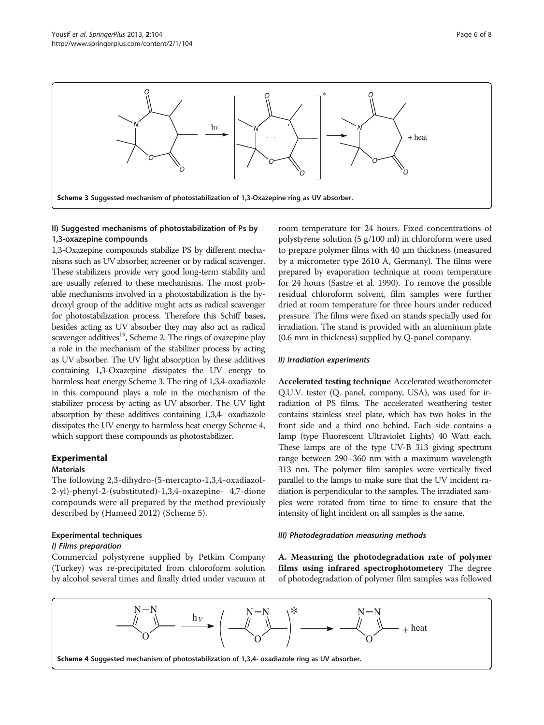

## II) Suggested mechanisms of photostabilization of Ps by 1,3-oxazepine compounds

1,3-Oxazepine compounds stabilize PS by different mechanisms such as UV absorber, screener or by radical scavenger. These stabilizers provide very good long-term stability and are usually referred to these mechanisms. The most probable mechanisms involved in a photostabilization is the hydroxyl group of the additive might acts as radical scavenger for photostabilization process. Therefore this Schiff bases, besides acting as UV absorber they may also act as radical scavenger additives<sup>19</sup>, Scheme [2](#page-4-0). The rings of oxazepine play a role in the mechanism of the stabilizer process by acting as UV absorber. The UV light absorption by these additives containing 1,3-Oxazepine dissipates the UV energy to harmless heat energy Scheme 3. The ring of 1,3,4-oxadiazole in this compound plays a role in the mechanism of the stabilizer process by acting as UV absorber. The UV light absorption by these additives containing 1,3,4- oxadiazole dissipates the UV energy to harmless heat energy Scheme 4, which support these compounds as photostabilizer.

## Experimental

## **Materials**

The following 2,3-dihydro-(5-mercapto-1,3,4-oxadiazol-2-yl)-phenyl-2-(substituted)-1,3,4-oxazepine- 4,7-dione compounds were all prepared by the method previously described by (Hameed [2012](#page-7-0)) (Scheme [5\)](#page-6-0).

## Experimental techniques

## I) Films preparation

Commercial polystyrene supplied by Petkim Company (Turkey) was re-precipitated from chloroform solution by alcohol several times and finally dried under vacuum at

room temperature for 24 hours. Fixed concentrations of polystyrene solution (5 g/100 ml) in chloroform were used to prepare polymer films with 40 μm thickness (measured by a micrometer type 2610 A, Germany). The films were prepared by evaporation technique at room temperature for 24 hours (Sastre et al. [1990](#page-7-0)). To remove the possible residual chloroform solvent, film samples were further dried at room temperature for three hours under reduced pressure. The films were fixed on stands specially used for irradiation. The stand is provided with an aluminum plate (0.6 mm in thickness) supplied by Q-panel company.

## II) Irradiation experiments

Accelerated testing technique Accelerated weatherometer Q.U.V. tester (Q. panel, company, USA), was used for irradiation of PS films. The accelerated weathering tester contains stainless steel plate, which has two holes in the front side and a third one behind. Each side contains a lamp (type Fluorescent Ultraviolet Lights) 40 Watt each. These lamps are of the type UV-B 313 giving spectrum range between 290–360 nm with a maximum wavelength 313 nm. The polymer film samples were vertically fixed parallel to the lamps to make sure that the UV incident radiation is perpendicular to the samples. The irradiated samples were rotated from time to time to ensure that the intensity of light incident on all samples is the same.

## III) Photodegradation measuring methods

A. Measuring the photodegradation rate of polymer films using infrared spectrophotometery The degree of photodegradation of polymer film samples was followed

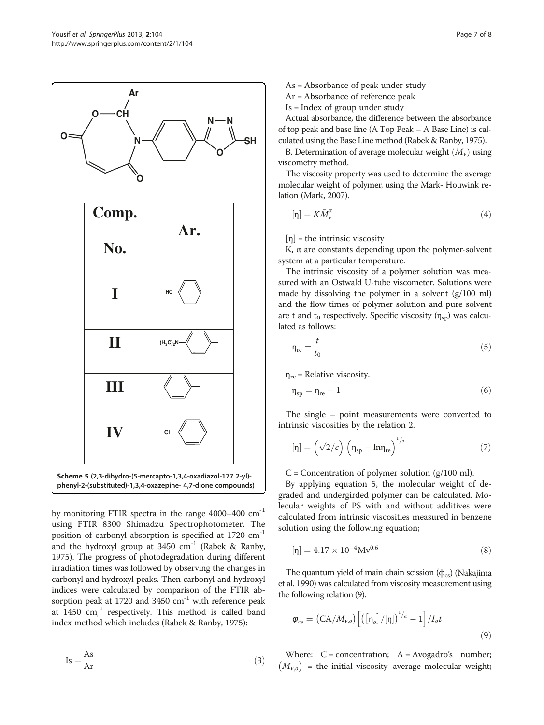<span id="page-6-0"></span>

by monitoring FTIR spectra in the range 4000–400 cm-1 using FTIR 8300 Shimadzu Spectrophotometer. The position of carbonyl absorption is specified at 1720 cm-1 and the hydroxyl group at  $3450 \text{ cm}^{-1}$  (Rabek & Ranby, [1975\)](#page-7-0). The progress of photodegradation during different irradiation times was followed by observing the changes in carbonyl and hydroxyl peaks. Then carbonyl and hydroxyl indices were calculated by comparison of the FTIR absorption peak at 1720 and 3450  $\text{cm}^{-1}$  with reference peak at 1450  $\text{cm}^{-1}$  respectively. This method is called band index method which includes (Rabek & Ranby, [1975\)](#page-7-0):

$$
Is = \frac{As}{Ar}
$$
 (3)

As = Absorbance of peak under study

Ar = Absorbance of reference peak

Is = Index of group under study

Actual absorbance, the difference between the absorbance of top peak and base line (A Top Peak – A Base Line) is calculated using the Base Line method (Rabek & Ranby, [1975](#page-7-0)).

B. Determination of average molecular weight  $(\bar{M}_v)$  using viscometry method.

The viscosity property was used to determine the average molecular weight of polymer, using the Mark- Houwink relation (Mark, [2007\)](#page-7-0).

$$
[\eta] = K \bar{M}^{\alpha}_{\nu} \tag{4}
$$

 $[n]$  = the intrinsic viscosity

K, α are constants depending upon the polymer-solvent system at a particular temperature.

The intrinsic viscosity of a polymer solution was measured with an Ostwald U-tube viscometer. Solutions were made by dissolving the polymer in a solvent (g/100 ml) and the flow times of polymer solution and pure solvent are t and  $t_0$  respectively. Specific viscosity  $(\eta_{\rm{sp}})$  was calculated as follows:

$$
\eta_{\rm re} = \frac{t}{t_0} \tag{5}
$$

 $\eta_{\text{re}}$  = Relative viscosity.

$$
\eta_{sp} = \eta_{re} - 1 \tag{6}
$$

The single – point measurements were converted to intrinsic viscosities by the relation 2.

$$
[\eta] = \left(\sqrt{2}/c\right) \left(\eta_{sp} - \ln \eta_{re}\right)^{1/2} \tag{7}
$$

 $C =$  Concentration of polymer solution (g/100 ml).

By applying equation 5, the molecular weight of degraded and undergirded polymer can be calculated. Molecular weights of PS with and without additives were calculated from intrinsic viscosities measured in benzene solution using the following equation;

$$
[\eta] = 4.17 \times 10^{-4} Mv^{0.6}
$$
 (8)

The quantum yield of main chain scission  $(\phi_{cs})$  (Nakajima et al. [1990\)](#page-7-0) was calculated from viscosity measurement using the following relation (9).

$$
\varphi_{\rm cs} = (CA/\bar{M}_{\nu,o}) \left[ \left( \left[ \eta_o \right] / [\eta] \right)^{1/\alpha} - 1 \right] / I_o t \tag{9}
$$

Where:  $C = concentration$ ;  $A = Avogadro's number$ ;  $(\bar{M}_{\nu,o})$  = the initial viscosity–average molecular weight;